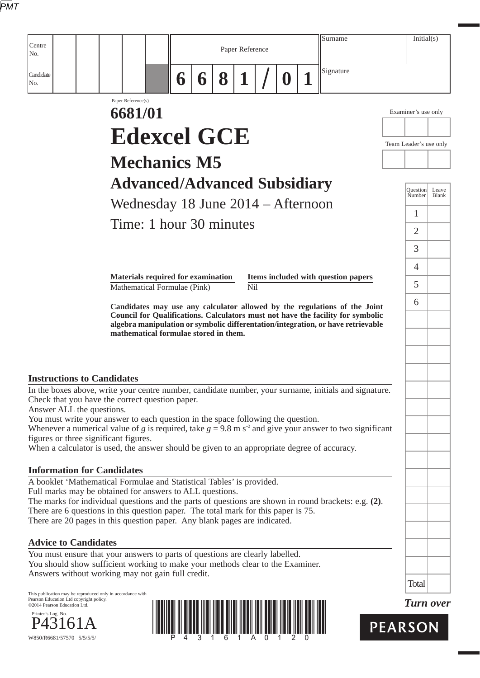|--|

| Centre<br>Paper Reference<br>No.<br>Signature<br>Candidate<br>8<br>$\mathbf 1$<br>$\boldsymbol{0}$<br>6<br>6<br>No.<br>Paper Reference(s)<br>6681/01<br>Examiner's use only<br><b>Edexcel GCE</b><br>Team Leader's use only<br><b>Mechanics M5</b><br><b>Advanced/Advanced Subsidiary</b><br>Question<br>Number<br>Wednesday 18 June 2014 - Afternoon<br>1<br>Time: 1 hour 30 minutes<br>$\overline{2}$<br>3<br>$\overline{4}$<br><b>Materials required for examination</b><br>Items included with question papers<br>5<br>Mathematical Formulae (Pink)<br>Nil<br>6<br>Candidates may use any calculator allowed by the regulations of the Joint<br>Council for Qualifications. Calculators must not have the facility for symbolic<br>algebra manipulation or symbolic differentation/integration, or have retrievable<br>mathematical formulae stored in them.<br><b>Instructions to Candidates</b><br>In the boxes above, write your centre number, candidate number, your surname, initials and signature.<br>Check that you have the correct question paper.<br>Answer ALL the questions.<br>You must write your answer to each question in the space following the question. | Leave<br>Blank |
|------------------------------------------------------------------------------------------------------------------------------------------------------------------------------------------------------------------------------------------------------------------------------------------------------------------------------------------------------------------------------------------------------------------------------------------------------------------------------------------------------------------------------------------------------------------------------------------------------------------------------------------------------------------------------------------------------------------------------------------------------------------------------------------------------------------------------------------------------------------------------------------------------------------------------------------------------------------------------------------------------------------------------------------------------------------------------------------------------------------------------------------------------------------------------------|----------------|
|                                                                                                                                                                                                                                                                                                                                                                                                                                                                                                                                                                                                                                                                                                                                                                                                                                                                                                                                                                                                                                                                                                                                                                                    |                |
|                                                                                                                                                                                                                                                                                                                                                                                                                                                                                                                                                                                                                                                                                                                                                                                                                                                                                                                                                                                                                                                                                                                                                                                    |                |
|                                                                                                                                                                                                                                                                                                                                                                                                                                                                                                                                                                                                                                                                                                                                                                                                                                                                                                                                                                                                                                                                                                                                                                                    |                |
|                                                                                                                                                                                                                                                                                                                                                                                                                                                                                                                                                                                                                                                                                                                                                                                                                                                                                                                                                                                                                                                                                                                                                                                    |                |
|                                                                                                                                                                                                                                                                                                                                                                                                                                                                                                                                                                                                                                                                                                                                                                                                                                                                                                                                                                                                                                                                                                                                                                                    |                |
|                                                                                                                                                                                                                                                                                                                                                                                                                                                                                                                                                                                                                                                                                                                                                                                                                                                                                                                                                                                                                                                                                                                                                                                    |                |
|                                                                                                                                                                                                                                                                                                                                                                                                                                                                                                                                                                                                                                                                                                                                                                                                                                                                                                                                                                                                                                                                                                                                                                                    |                |
|                                                                                                                                                                                                                                                                                                                                                                                                                                                                                                                                                                                                                                                                                                                                                                                                                                                                                                                                                                                                                                                                                                                                                                                    |                |
|                                                                                                                                                                                                                                                                                                                                                                                                                                                                                                                                                                                                                                                                                                                                                                                                                                                                                                                                                                                                                                                                                                                                                                                    |                |
|                                                                                                                                                                                                                                                                                                                                                                                                                                                                                                                                                                                                                                                                                                                                                                                                                                                                                                                                                                                                                                                                                                                                                                                    |                |
|                                                                                                                                                                                                                                                                                                                                                                                                                                                                                                                                                                                                                                                                                                                                                                                                                                                                                                                                                                                                                                                                                                                                                                                    |                |
|                                                                                                                                                                                                                                                                                                                                                                                                                                                                                                                                                                                                                                                                                                                                                                                                                                                                                                                                                                                                                                                                                                                                                                                    |                |
|                                                                                                                                                                                                                                                                                                                                                                                                                                                                                                                                                                                                                                                                                                                                                                                                                                                                                                                                                                                                                                                                                                                                                                                    |                |
|                                                                                                                                                                                                                                                                                                                                                                                                                                                                                                                                                                                                                                                                                                                                                                                                                                                                                                                                                                                                                                                                                                                                                                                    |                |
|                                                                                                                                                                                                                                                                                                                                                                                                                                                                                                                                                                                                                                                                                                                                                                                                                                                                                                                                                                                                                                                                                                                                                                                    |                |
|                                                                                                                                                                                                                                                                                                                                                                                                                                                                                                                                                                                                                                                                                                                                                                                                                                                                                                                                                                                                                                                                                                                                                                                    |                |
|                                                                                                                                                                                                                                                                                                                                                                                                                                                                                                                                                                                                                                                                                                                                                                                                                                                                                                                                                                                                                                                                                                                                                                                    |                |
|                                                                                                                                                                                                                                                                                                                                                                                                                                                                                                                                                                                                                                                                                                                                                                                                                                                                                                                                                                                                                                                                                                                                                                                    |                |
|                                                                                                                                                                                                                                                                                                                                                                                                                                                                                                                                                                                                                                                                                                                                                                                                                                                                                                                                                                                                                                                                                                                                                                                    |                |
| Whenever a numerical value of g is required, take $g = 9.8$ m s <sup>-2</sup> and give your answer to two significant<br>figures or three significant figures.                                                                                                                                                                                                                                                                                                                                                                                                                                                                                                                                                                                                                                                                                                                                                                                                                                                                                                                                                                                                                     |                |
| When a calculator is used, the answer should be given to an appropriate degree of accuracy.                                                                                                                                                                                                                                                                                                                                                                                                                                                                                                                                                                                                                                                                                                                                                                                                                                                                                                                                                                                                                                                                                        |                |
| <b>Information for Candidates</b>                                                                                                                                                                                                                                                                                                                                                                                                                                                                                                                                                                                                                                                                                                                                                                                                                                                                                                                                                                                                                                                                                                                                                  |                |
| A booklet 'Mathematical Formulae and Statistical Tables' is provided.<br>Full marks may be obtained for answers to ALL questions.                                                                                                                                                                                                                                                                                                                                                                                                                                                                                                                                                                                                                                                                                                                                                                                                                                                                                                                                                                                                                                                  |                |
| The marks for individual questions and the parts of questions are shown in round brackets: e.g. (2).<br>There are 6 questions in this question paper. The total mark for this paper is 75.                                                                                                                                                                                                                                                                                                                                                                                                                                                                                                                                                                                                                                                                                                                                                                                                                                                                                                                                                                                         |                |
| There are 20 pages in this question paper. Any blank pages are indicated.                                                                                                                                                                                                                                                                                                                                                                                                                                                                                                                                                                                                                                                                                                                                                                                                                                                                                                                                                                                                                                                                                                          |                |
| <b>Advice to Candidates</b>                                                                                                                                                                                                                                                                                                                                                                                                                                                                                                                                                                                                                                                                                                                                                                                                                                                                                                                                                                                                                                                                                                                                                        |                |
| You must ensure that your answers to parts of questions are clearly labelled.<br>You should show sufficient working to make your methods clear to the Examiner.                                                                                                                                                                                                                                                                                                                                                                                                                                                                                                                                                                                                                                                                                                                                                                                                                                                                                                                                                                                                                    |                |
| Answers without working may not gain full credit.                                                                                                                                                                                                                                                                                                                                                                                                                                                                                                                                                                                                                                                                                                                                                                                                                                                                                                                                                                                                                                                                                                                                  |                |
| Total<br>This publication may be reproduced only in accordance with                                                                                                                                                                                                                                                                                                                                                                                                                                                                                                                                                                                                                                                                                                                                                                                                                                                                                                                                                                                                                                                                                                                |                |
| Pearson Education Ltd copyright policy.<br><b>Turn over</b><br>©2014 Pearson Education Ltd.<br>Printer's Log. No.                                                                                                                                                                                                                                                                                                                                                                                                                                                                                                                                                                                                                                                                                                                                                                                                                                                                                                                                                                                                                                                                  |                |
| <b>PEARSON</b>                                                                                                                                                                                                                                                                                                                                                                                                                                                                                                                                                                                                                                                                                                                                                                                                                                                                                                                                                                                                                                                                                                                                                                     |                |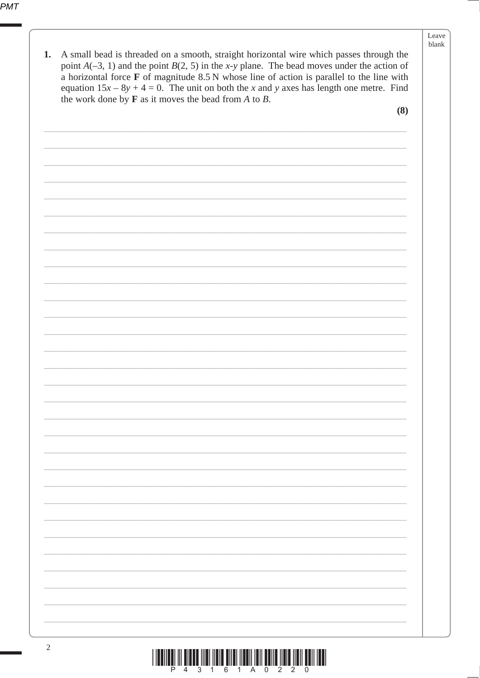## Leave blank

| 1. | A small bead is threaded on a smooth, straight horizontal wire which passes through the<br>point $A(-3, 1)$ and the point $B(2, 5)$ in the x-y plane. The bead moves under the action of<br>a horizontal force F of magnitude 8.5 N whose line of action is parallel to the line with<br>equation $15x - 8y + 4 = 0$ . The unit on both the x and y axes has length one metre. Find<br>the work done by $\bf{F}$ as it moves the bead from $\bf{A}$ to $\bf{B}$ . |  |  |  |
|----|-------------------------------------------------------------------------------------------------------------------------------------------------------------------------------------------------------------------------------------------------------------------------------------------------------------------------------------------------------------------------------------------------------------------------------------------------------------------|--|--|--|
|    | (8)                                                                                                                                                                                                                                                                                                                                                                                                                                                               |  |  |  |
|    |                                                                                                                                                                                                                                                                                                                                                                                                                                                                   |  |  |  |
|    |                                                                                                                                                                                                                                                                                                                                                                                                                                                                   |  |  |  |
|    |                                                                                                                                                                                                                                                                                                                                                                                                                                                                   |  |  |  |
|    |                                                                                                                                                                                                                                                                                                                                                                                                                                                                   |  |  |  |
|    |                                                                                                                                                                                                                                                                                                                                                                                                                                                                   |  |  |  |
|    |                                                                                                                                                                                                                                                                                                                                                                                                                                                                   |  |  |  |
|    |                                                                                                                                                                                                                                                                                                                                                                                                                                                                   |  |  |  |
|    |                                                                                                                                                                                                                                                                                                                                                                                                                                                                   |  |  |  |
|    |                                                                                                                                                                                                                                                                                                                                                                                                                                                                   |  |  |  |
|    |                                                                                                                                                                                                                                                                                                                                                                                                                                                                   |  |  |  |
|    |                                                                                                                                                                                                                                                                                                                                                                                                                                                                   |  |  |  |
|    |                                                                                                                                                                                                                                                                                                                                                                                                                                                                   |  |  |  |
|    |                                                                                                                                                                                                                                                                                                                                                                                                                                                                   |  |  |  |
|    |                                                                                                                                                                                                                                                                                                                                                                                                                                                                   |  |  |  |
|    |                                                                                                                                                                                                                                                                                                                                                                                                                                                                   |  |  |  |
|    |                                                                                                                                                                                                                                                                                                                                                                                                                                                                   |  |  |  |
|    |                                                                                                                                                                                                                                                                                                                                                                                                                                                                   |  |  |  |
|    |                                                                                                                                                                                                                                                                                                                                                                                                                                                                   |  |  |  |
|    |                                                                                                                                                                                                                                                                                                                                                                                                                                                                   |  |  |  |
|    |                                                                                                                                                                                                                                                                                                                                                                                                                                                                   |  |  |  |
|    |                                                                                                                                                                                                                                                                                                                                                                                                                                                                   |  |  |  |
|    |                                                                                                                                                                                                                                                                                                                                                                                                                                                                   |  |  |  |
|    |                                                                                                                                                                                                                                                                                                                                                                                                                                                                   |  |  |  |
|    |                                                                                                                                                                                                                                                                                                                                                                                                                                                                   |  |  |  |
|    |                                                                                                                                                                                                                                                                                                                                                                                                                                                                   |  |  |  |
|    |                                                                                                                                                                                                                                                                                                                                                                                                                                                                   |  |  |  |
|    |                                                                                                                                                                                                                                                                                                                                                                                                                                                                   |  |  |  |
|    |                                                                                                                                                                                                                                                                                                                                                                                                                                                                   |  |  |  |
|    |                                                                                                                                                                                                                                                                                                                                                                                                                                                                   |  |  |  |
|    |                                                                                                                                                                                                                                                                                                                                                                                                                                                                   |  |  |  |
| 2  |                                                                                                                                                                                                                                                                                                                                                                                                                                                                   |  |  |  |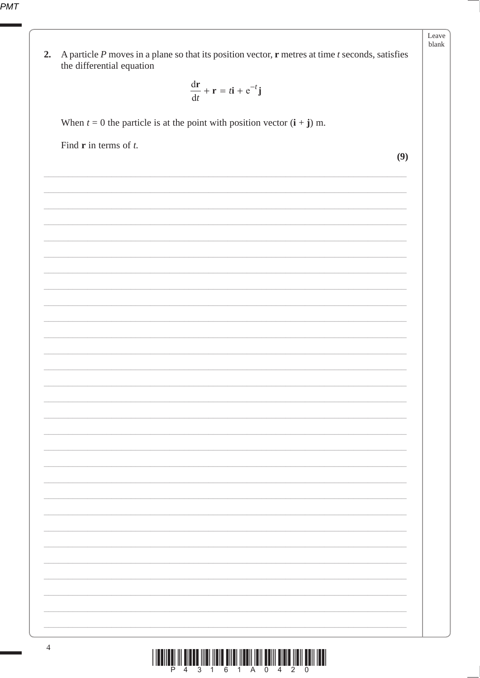PMT

| A particle $P$ moves in a plane so that its position vector, $\mathbf r$ metres at time $t$ seconds, satisfies<br>2.<br>the differential equation |     |
|---------------------------------------------------------------------------------------------------------------------------------------------------|-----|
| $\frac{dr}{dt} + r = t\mathbf{i} + e^{-t}\mathbf{j}$                                                                                              |     |
| When $t = 0$ the particle is at the point with position vector $(i + j)$ m.                                                                       |     |
| Find $\bf{r}$ in terms of $t$ .                                                                                                                   | (9) |
|                                                                                                                                                   |     |
|                                                                                                                                                   |     |
|                                                                                                                                                   |     |
|                                                                                                                                                   |     |
|                                                                                                                                                   |     |
|                                                                                                                                                   |     |
|                                                                                                                                                   |     |
|                                                                                                                                                   |     |
|                                                                                                                                                   |     |
|                                                                                                                                                   |     |
|                                                                                                                                                   |     |
|                                                                                                                                                   |     |
|                                                                                                                                                   |     |
|                                                                                                                                                   |     |
|                                                                                                                                                   |     |
|                                                                                                                                                   |     |
|                                                                                                                                                   |     |
|                                                                                                                                                   |     |
|                                                                                                                                                   |     |
|                                                                                                                                                   |     |

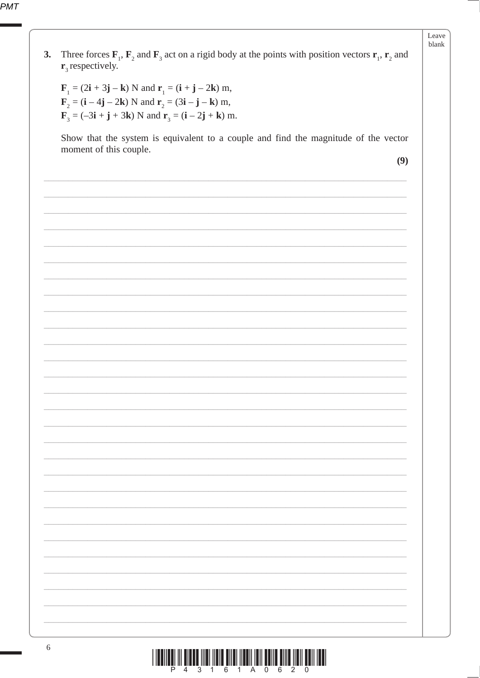| 3. |                                                                                                                                                                                                                                                                                                                                                                                            |
|----|--------------------------------------------------------------------------------------------------------------------------------------------------------------------------------------------------------------------------------------------------------------------------------------------------------------------------------------------------------------------------------------------|
|    | Three forces $\mathbf{F}_1$ , $\mathbf{F}_2$ and $\mathbf{F}_3$ act on a rigid body at the points with position vectors $\mathbf{r}_1$ , $\mathbf{r}_2$ and<br>$\mathbf{r}_3$ respectively.                                                                                                                                                                                                |
|    | $\mathbf{F}_1 = (2\mathbf{i} + 3\mathbf{j} - \mathbf{k})$ N and $\mathbf{r}_1 = (\mathbf{i} + \mathbf{j} - 2\mathbf{k})$ m,<br>$\mathbf{F}_2 = (\mathbf{i} - 4\mathbf{j} - 2\mathbf{k})$ N and $\mathbf{r}_2 = (3\mathbf{i} - \mathbf{j} - \mathbf{k})$ m,<br>$\mathbf{F}_3 = (-3\mathbf{i} + \mathbf{j} + 3\mathbf{k})$ N and $\mathbf{r}_3 = (\mathbf{i} - 2\mathbf{j} + \mathbf{k})$ m. |
|    | Show that the system is equivalent to a couple and find the magnitude of the vector                                                                                                                                                                                                                                                                                                        |
|    | moment of this couple.<br>(9)                                                                                                                                                                                                                                                                                                                                                              |
|    |                                                                                                                                                                                                                                                                                                                                                                                            |
|    |                                                                                                                                                                                                                                                                                                                                                                                            |
|    |                                                                                                                                                                                                                                                                                                                                                                                            |
|    |                                                                                                                                                                                                                                                                                                                                                                                            |
|    |                                                                                                                                                                                                                                                                                                                                                                                            |
|    |                                                                                                                                                                                                                                                                                                                                                                                            |
|    |                                                                                                                                                                                                                                                                                                                                                                                            |
|    |                                                                                                                                                                                                                                                                                                                                                                                            |
|    |                                                                                                                                                                                                                                                                                                                                                                                            |
|    |                                                                                                                                                                                                                                                                                                                                                                                            |
|    |                                                                                                                                                                                                                                                                                                                                                                                            |
|    |                                                                                                                                                                                                                                                                                                                                                                                            |
|    |                                                                                                                                                                                                                                                                                                                                                                                            |
|    |                                                                                                                                                                                                                                                                                                                                                                                            |
|    |                                                                                                                                                                                                                                                                                                                                                                                            |
|    |                                                                                                                                                                                                                                                                                                                                                                                            |
|    |                                                                                                                                                                                                                                                                                                                                                                                            |
|    |                                                                                                                                                                                                                                                                                                                                                                                            |
|    |                                                                                                                                                                                                                                                                                                                                                                                            |
|    |                                                                                                                                                                                                                                                                                                                                                                                            |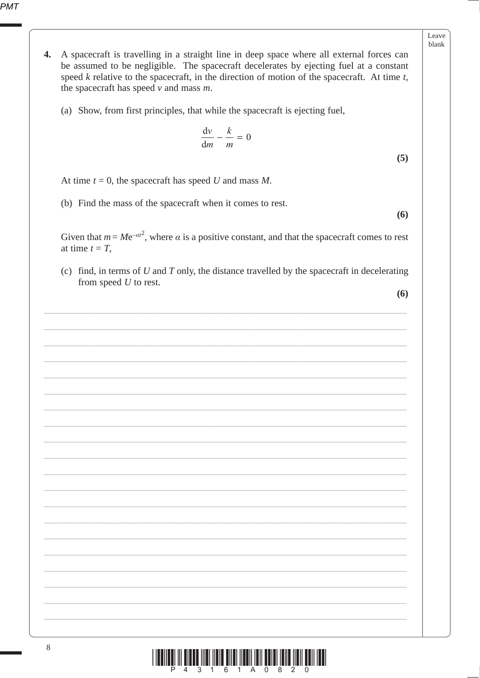| eav<br>е |
|----------|
| hlank    |

- $\overline{4}$ . A spacecraft is travelling in a straight line in deep space where all external forces can be assumed to be negligible. The spacecraft decelerates by ejecting fuel at a constant speed  $k$  relative to the spacecraft, in the direction of motion of the spacecraft. At time  $t$ , the spacecraft has speed  $v$  and mass  $m$ .
	- (a) Show, from first principles, that while the spacecraft is ejecting fuel,

$$
\frac{\mathrm{d}v}{\mathrm{d}m} - \frac{k}{m} = 0
$$

 $(5)$ 

At time  $t = 0$ , the spacecraft has speed U and mass M.

(b) Find the mass of the spacecraft when it comes to rest.

 $(6)$ 

Given that  $m = Me^{-\alpha t^2}$ , where  $\alpha$  is a positive constant, and that the spacecraft comes to rest at time  $t = T$ ,

(c) find, in terms of  $U$  and  $T$  only, the distance travelled by the spacecraft in decelerating from speed  $U$  to rest.

 $(6)$ 

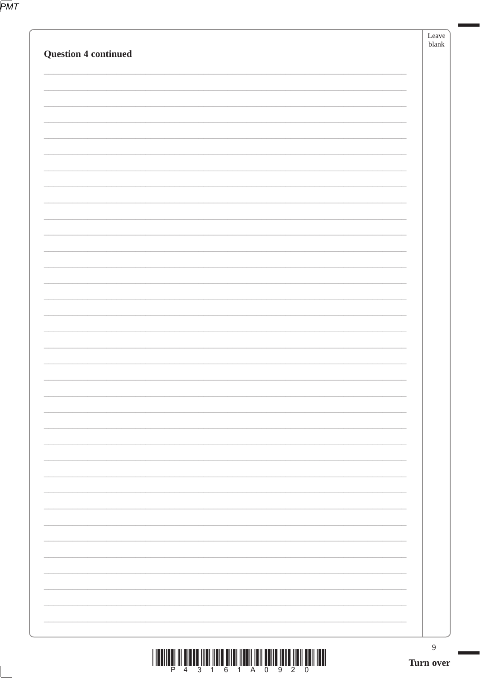|                             | $\boldsymbol{9}$<br>Turn over |
|-----------------------------|-------------------------------|
|                             |                               |
|                             |                               |
|                             |                               |
|                             |                               |
|                             |                               |
|                             |                               |
|                             |                               |
|                             |                               |
|                             |                               |
|                             |                               |
|                             |                               |
|                             |                               |
|                             |                               |
|                             |                               |
|                             |                               |
|                             |                               |
|                             |                               |
|                             |                               |
|                             |                               |
| <b>Question 4 continued</b> | blank                         |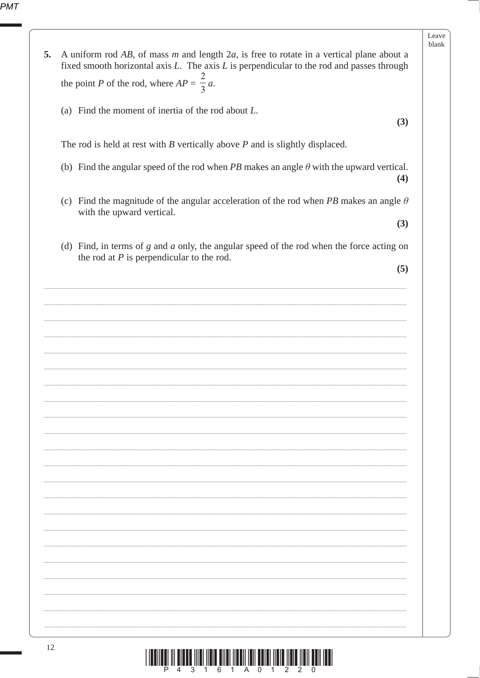PMT

|    |                                                                                                                                                                                                  | Leave<br>blank |
|----|--------------------------------------------------------------------------------------------------------------------------------------------------------------------------------------------------|----------------|
| 5. | A uniform rod $AB$ , of mass m and length $2a$ , is free to rotate in a vertical plane about a<br>fixed smooth horizontal axis $L$ . The axis $L$ is perpendicular to the rod and passes through |                |
|    | the point P of the rod, where $AP = \frac{2}{3}a$ .                                                                                                                                              |                |
|    | (a) Find the moment of inertia of the rod about $L$ .<br>(3)                                                                                                                                     |                |
|    | The rod is held at rest with $B$ vertically above $P$ and is slightly displaced.                                                                                                                 |                |
|    | (b) Find the angular speed of the rod when PB makes an angle $\theta$ with the upward vertical.<br>(4)                                                                                           |                |
|    | (c) Find the magnitude of the angular acceleration of the rod when PB makes an angle $\theta$<br>with the upward vertical.                                                                       |                |
|    | (3)                                                                                                                                                                                              |                |
|    | (d) Find, in terms of $g$ and $a$ only, the angular speed of the rod when the force acting on<br>the rod at $P$ is perpendicular to the rod.                                                     |                |
|    | (5)                                                                                                                                                                                              |                |
|    |                                                                                                                                                                                                  |                |
|    |                                                                                                                                                                                                  |                |
|    |                                                                                                                                                                                                  |                |
|    |                                                                                                                                                                                                  |                |
|    |                                                                                                                                                                                                  |                |
|    |                                                                                                                                                                                                  |                |
|    |                                                                                                                                                                                                  |                |
|    |                                                                                                                                                                                                  |                |
|    |                                                                                                                                                                                                  |                |
|    |                                                                                                                                                                                                  |                |
|    |                                                                                                                                                                                                  |                |
|    |                                                                                                                                                                                                  |                |
|    |                                                                                                                                                                                                  |                |
|    |                                                                                                                                                                                                  |                |
|    |                                                                                                                                                                                                  |                |
|    |                                                                                                                                                                                                  |                |
|    | 12                                                                                                                                                                                               |                |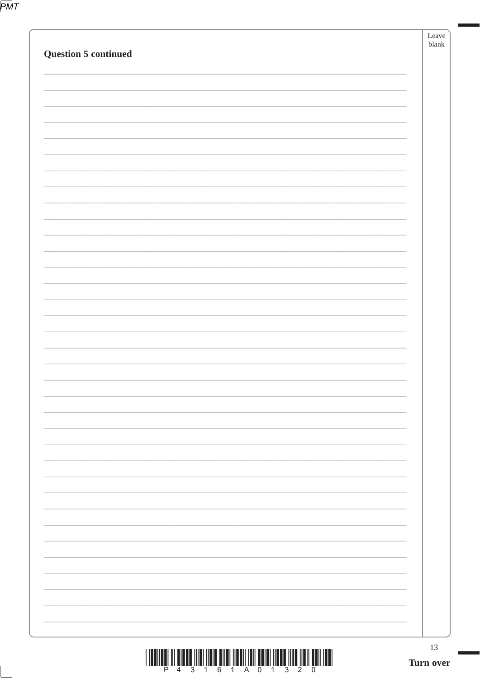|--|

| $\mathbf{1}$         | 13<br>Turn over |
|----------------------|-----------------|
|                      |                 |
|                      |                 |
|                      |                 |
|                      |                 |
|                      |                 |
|                      |                 |
|                      |                 |
|                      |                 |
|                      |                 |
|                      |                 |
|                      |                 |
|                      |                 |
|                      |                 |
|                      |                 |
|                      |                 |
|                      |                 |
|                      |                 |
|                      |                 |
| Question 5 continued | blank           |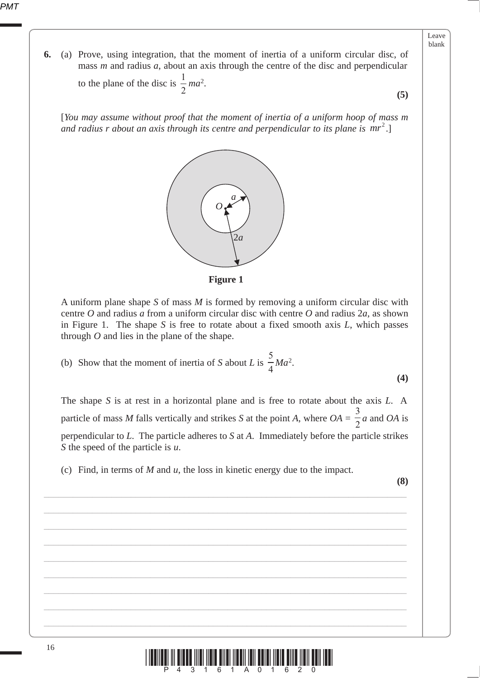## Leave blank

**(5)**

**6.** (a) Prove, using integration, that the moment of inertia of a uniform circular disc, of mass *m* and radius *a*, about an axis through the centre of the disc and perpendicular

to the plane of the disc is  $\frac{1}{2}$  *ma*<sup>2</sup>.

[*You may assume without proof that the moment of inertia of a uniform hoop of mass m*  and radius r about an axis through its centre and perpendicular to its plane is  $mr^2$ .]



**Figure 1**

A uniform plane shape *S* of mass *M* is formed by removing a uniform circular disc with centre *O* and radius *a* from a uniform circular disc with centre *O* and radius 2*a*, as shown in Figure 1. The shape *S* is free to rotate about a fixed smooth axis *L*, which passes through *O* and lies in the plane of the shape.

 (b) Show that the moment of inertia of *S* about *L* is 5  $\frac{3}{4}$ *Ma*<sup>2</sup>.

The shape *S* is at rest in a horizontal plane and is free to rotate about the axis *L*. A particle of mass *M* falls vertically and strikes *S* at the point *A*, where *OA* = 3  $\frac{2}{2}$ *a* and *OA* is perpendicular to *L*. The particle adheres to *S* at *A*. Immediately before the particle strikes *S* the speed of the particle is *u*.

(c) Find, in terms of *M* and *u*, the loss in kinetic energy due to the impact.

\_\_\_\_\_\_\_\_\_\_\_\_\_\_\_\_\_\_\_\_\_\_\_\_\_\_\_\_\_\_\_\_\_\_\_\_\_\_\_\_\_\_\_\_\_\_\_\_\_\_\_\_\_\_\_\_\_\_\_\_\_\_\_\_\_\_\_\_\_\_\_\_\_\_\_

\_\_\_\_\_\_\_\_\_\_\_\_\_\_\_\_\_\_\_\_\_\_\_\_\_\_\_\_\_\_\_\_\_\_\_\_\_\_\_\_\_\_\_\_\_\_\_\_\_\_\_\_\_\_\_\_\_\_\_\_\_\_\_\_\_\_\_\_\_\_\_\_\_\_\_

\_\_\_\_\_\_\_\_\_\_\_\_\_\_\_\_\_\_\_\_\_\_\_\_\_\_\_\_\_\_\_\_\_\_\_\_\_\_\_\_\_\_\_\_\_\_\_\_\_\_\_\_\_\_\_\_\_\_\_\_\_\_\_\_\_\_\_\_\_\_\_\_\_\_\_

\_\_\_\_\_\_\_\_\_\_\_\_\_\_\_\_\_\_\_\_\_\_\_\_\_\_\_\_\_\_\_\_\_\_\_\_\_\_\_\_\_\_\_\_\_\_\_\_\_\_\_\_\_\_\_\_\_\_\_\_\_\_\_\_\_\_\_\_\_\_\_\_\_\_\_

\_\_\_\_\_\_\_\_\_\_\_\_\_\_\_\_\_\_\_\_\_\_\_\_\_\_\_\_\_\_\_\_\_\_\_\_\_\_\_\_\_\_\_\_\_\_\_\_\_\_\_\_\_\_\_\_\_\_\_\_\_\_\_\_\_\_\_\_\_\_\_\_\_\_\_

\_\_\_\_\_\_\_\_\_\_\_\_\_\_\_\_\_\_\_\_\_\_\_\_\_\_\_\_\_\_\_\_\_\_\_\_\_\_\_\_\_\_\_\_\_\_\_\_\_\_\_\_\_\_\_\_\_\_\_\_\_\_\_\_\_\_\_\_\_\_\_\_\_\_\_

\_\_\_\_\_\_\_\_\_\_\_\_\_\_\_\_\_\_\_\_\_\_\_\_\_\_\_\_\_\_\_\_\_\_\_\_\_\_\_\_\_\_\_\_\_\_\_\_\_\_\_\_\_\_\_\_\_\_\_\_\_\_\_\_\_\_\_\_\_\_\_\_\_\_\_

\_\_\_\_\_\_\_\_\_\_\_\_\_\_\_\_\_\_\_\_\_\_\_\_\_\_\_\_\_\_\_\_\_\_\_\_\_\_\_\_\_\_\_\_\_\_\_\_\_\_\_\_\_\_\_\_\_\_\_\_\_\_\_\_\_\_\_\_\_\_\_\_\_\_\_

\_\_\_\_\_\_\_\_\_\_\_\_\_\_\_\_\_\_\_\_\_\_\_\_\_\_\_\_\_\_\_\_\_\_\_\_\_\_\_\_\_\_\_\_\_\_\_\_\_\_\_\_\_\_\_\_\_\_\_\_\_\_\_\_\_\_\_\_\_\_\_\_\_\_\_

**(8)**

**(4)**